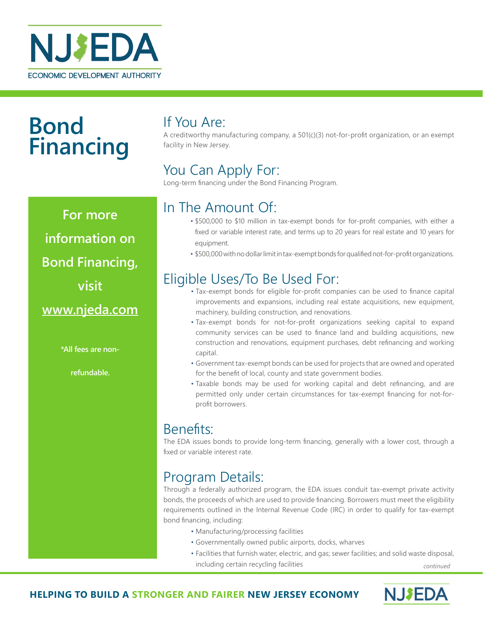

# **Bond Financing**

**For more information on Bond Financing, visit www.njeda.com**

**\*All fees are non-**

**refundable.**

## If You Are:

A creditworthy manufacturing company, a 501(c)(3) not-for-profit organization, or an exempt facility in New Jersey.

## You Can Apply For:

Long-term financing under the Bond Financing Program.

- In The Amount Of: \$500,000 to \$10 million in tax-exempt bonds for for-profit companies, with either a fixed or variable interest rate, and terms up to 20 years for real estate and 10 years for equipment.
	- \$500,000 with no dollar limit in tax-exempt bonds for qualified not-for-profit organizations.

#### Eligible Uses/To Be Used For:

- Tax-exempt bonds for eligible for-profit companies can be used to finance capital improvements and expansions, including real estate acquisitions, new equipment, machinery, building construction, and renovations.
- Tax-exempt bonds for not-for-profit organizations seeking capital to expand community services can be used to finance land and building acquisitions, new construction and renovations, equipment purchases, debt refinancing and working capital.
- Government tax-exempt bonds can be used for projects that are owned and operated for the benefit of local, county and state government bodies.
- Taxable bonds may be used for working capital and debt refinancing, and are permitted only under certain circumstances for tax-exempt financing for not-forprofit borrowers.

## Benefits:

The EDA issues bonds to provide long-term financing, generally with a lower cost, through a fixed or variable interest rate.

#### Program Details:

Through a federally authorized program, the EDA issues conduit tax-exempt private activity bonds, the proceeds of which are used to provide financing. Borrowers must meet the eligibility requirements outlined in the Internal Revenue Code (IRC) in order to qualify for tax-exempt bond financing, including:

- Manufacturing/processing facilities
- Governmentally owned public airports, docks, wharves
- *continued* • Facilities that furnish water, electric, and gas; sewer facilities; and solid waste disposal, including certain recycling facilities

**HELPING TO BUILD A STRONGER AND FAIRER NEW JERSEY ECONOMY**